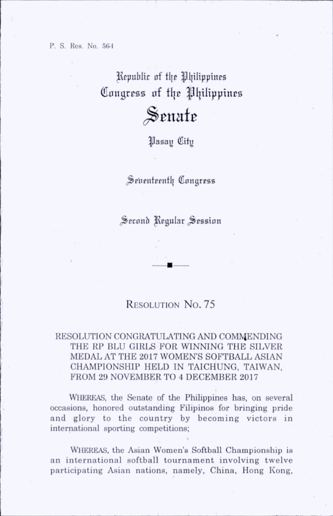P. S. Res. No. 564

Republic of the Philippines Congress of the Philippines

## Senate

|Jasay (ttitij

Seventeenth Congress

Second Regular Session

## RESOLUTION No. 75

## RESOLUTION CONGRATULATING AND COMMENDING THE RP BLU GIRLS FOR WINNING THE SILVER MEDAL AT THE 2017 WOMEN'S SOFTBALL ASIAN CHAMPIONSHIP HELD IN TAICHUNG, TAIWAN, FROM 29 NOVEMBER TO 4 DECEMBER 2017

WHEREAS, the Senate of the Philippines has, on several occasions, honored outstanding Filipinos for bringing pride and glory to the country by becoming victors in international sporting competitions;

Whereas, the Asian Women's Softball Championship is an international softball tournament involving twelve participating Asian nations, namely, China, Hong Kong,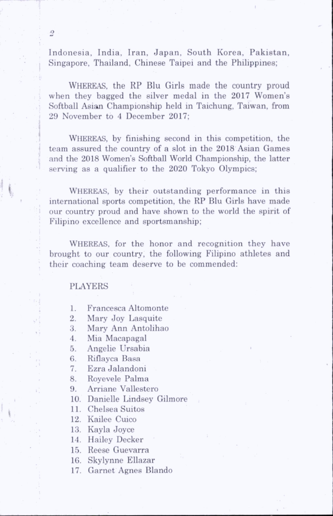Indonesia, India, Iran, Japan, South Korea, Pakistan, Singapore, Thailand, Chinese Taipei and the Philippines:

Whereas, the RP Blu Girls made the country proud when they bagged the silver medal in the 2017 Women's Softball Asian Championship held in Taichung, Taiwan, from 29 November to 4 December 2017;

WHEREAS, by finishing second in this competition, the team assured the country of a slot in the 2018 Asian Games and the 2018 Women's Softball World Championship, the latter serving as a qualifier to the 2020 Tokyo Olympics:

WHEREAS, by their outstanding performance in this international sports competition, the RP Blu Girls have made our country proud and have shown to the world the spirit of Filipino excellence and sportsmanship:

WHEREAS, for the honor and recognition they have brought to our country, the following Filipino athletes and their coaching team deserve to be commended:

**PLAYERS** 

1. Francesca Altomonte

2. Mary Joy Lasquite

3. Mary Ann Antolihao

4. Mia Macapagal

5. Angelie Ursabia

6. Riflayca Basa

7. Ezra Jalandoni

8. Royevele Palma

9. Arriane Vallestero

10. Danielle Lindsey Gilmore

11. Chelsea Suitos

12. Kailee Cuico

13. Kayla Joyce

14. Hailey Decker

15. Reese Guevarra

16. Skylynne Ellazar

17. Garnet Agnes Blando

i